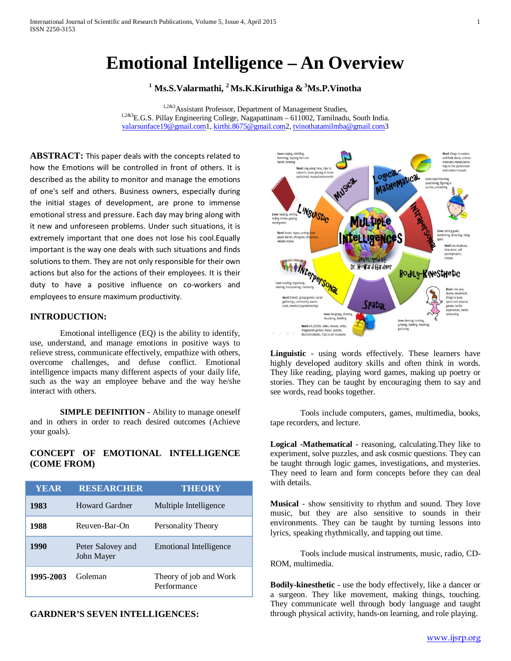# **Emotional Intelligence – An Overview**

**<sup>1</sup> Ms.S.Valarmathi, 2 Ms.K.Kiruthiga & <sup>3</sup> Ms.P.Vinotha**

1,2&3 Assistant Professor, Department of Management Studies, 1,2&3E.G.S. Pillay Engineering College, Nagapattinam – 611002, Tamilnadu, South India. [valarsunface19@gmail.com1](mailto:valarsunface19@gmail.com), [kirthi.8675@gmail.com2](mailto:kirthi.8675@gmail.com)[, tvinothatamilmba@gmail.com3](mailto:tvinothatamilmba@gmail.com)

**ABSTRACT:** This paper deals with the concepts related to how the Emotions will be controlled in front of others. It is described as the ability to monitor and manage the emotions of one's self and others. Business owners, especially during the initial stages of development, are prone to immense emotional stress and pressure. Each day may bring along with it new and unforeseen problems. Under such situations, it is extremely important that one does not lose his cool.Equally important is the way one deals with such situations and finds solutions to them. They are not only responsible for their own actions but also for the actions of their employees. It is their duty to have a positive influence on co-workers and employees to ensure maximum productivity.

# **INTRODUCTION:**

Emotional intelligence (EQ) is the ability to identify, use, understand, and manage emotions in positive ways to relieve stress, communicate effectively, empathize with others, overcome challenges, and defuse conflict. Emotional intelligence impacts many different aspects of your daily life, such as the way an employee behave and the way he/she interact with others.

**SIMPLE DEFINITION** - Ability to manage oneself and in others in order to reach desired outcomes (Achieve your goals).

## **CONCEPT OF EMOTIONAL INTELLIGENCE (COME FROM)**

| <b>YEAR</b> | <b>RESEARCHER</b>               | <b>THEORY</b>                         |
|-------------|---------------------------------|---------------------------------------|
| 1983        | Howard Gardner                  | Multiple Intelligence                 |
| 1988        | Reuven-Bar-On                   | Personality Theory                    |
| 1990        | Peter Salovey and<br>John Mayer | Emotional Intelligence                |
| 1995-2003   | Goleman                         | Theory of job and Work<br>Performance |

**GARDNER'S SEVEN INTELLIGENCES:**



**Linguistic** - using words effectively. These learners have highly developed auditory skills and often think in words. They like reading, playing word games, making up poetry or stories. They can be taught by encouraging them to say and see words, read books together.

Tools include computers, games, multimedia, books, tape recorders, and lecture.

**Logical -Mathematical** - reasoning, calculating.They like to experiment, solve puzzles, and ask cosmic questions. They can be taught through logic games, investigations, and mysteries. They need to learn and form concepts before they can deal with details.

**Musical** - show sensitivity to rhythm and sound. They love music, but they are also sensitive to sounds in their environments. They can be taught by turning lessons into lyrics, speaking rhythmically, and tapping out time.

Tools include musical instruments, music, radio, CD-ROM, multimedia.

**Bodily-kinesthetic** - use the body effectively, like a dancer or a surgeon. They like movement, making things, touching. They communicate well through body language and taught through physical activity, hands-on learning, and role playing.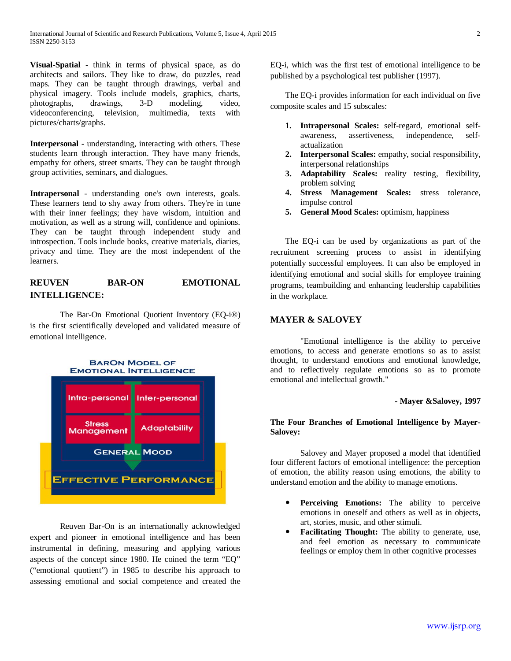**Visual-Spatial** - think in terms of physical space, as do architects and sailors. They like to draw, do puzzles, read maps. They can be taught through drawings, verbal and physical imagery. Tools include models, graphics, charts, photographs, drawings, 3-D modeling, video, videoconferencing, television, multimedia, texts with pictures/charts/graphs.

**Interpersonal** - understanding, interacting with others. These students learn through interaction. They have many friends, empathy for others, street smarts. They can be taught through group activities, seminars, and dialogues.

**Intrapersonal** - understanding one's own interests, goals. These learners tend to shy away from others. They're in tune with their inner feelings; they have wisdom, intuition and motivation, as well as a strong will, confidence and opinions. They can be taught through independent study and introspection. Tools include books, creative materials, diaries, privacy and time. They are the most independent of the learners.

# **REUVEN BAR-ON EMOTIONAL INTELLIGENCE:**

The Bar-On Emotional Quotient Inventory (EQ-i®) is the first scientifically developed and validated measure of emotional intelligence.



Reuven Bar-On is an internationally acknowledged expert and pioneer in emotional intelligence and has been instrumental in defining, measuring and applying various aspects of the concept since 1980. He coined the term "EQ" ("emotional quotient") in 1985 to describe his approach to assessing emotional and social competence and created the

EQ-i, which was the first test of emotional intelligence to be published by a psychological test publisher (1997).

The EQ-i provides information for each individual on five composite scales and 15 subscales:

- **1. Intrapersonal Scales:** self-regard, emotional selfawareness, assertiveness, independence, selfactualization
- **2. Interpersonal Scales:** empathy, social responsibility, interpersonal relationships
- **3. Adaptability Scales:** reality testing, flexibility, problem solving
- **4. Stress Management Scales:** stress tolerance, impulse control
- **5. General Mood Scales:** optimism, happiness

The EQ-i can be used by organizations as part of the recruitment screening process to assist in identifying potentially successful employees. It can also be employed in identifying emotional and social skills for employee training programs, teambuilding and enhancing leadership capabilities in the workplace.

# **MAYER & SALOVEY**

"Emotional intelligence is the ability to perceive emotions, to access and generate emotions so as to assist thought, to understand emotions and emotional knowledge, and to reflectively regulate emotions so as to promote emotional and intellectual growth."

## **- Mayer &Salovey, 1997**

## **The Four Branches of Emotional Intelligence by Mayer-Salovey:**

Salovey and Mayer proposed a model that identified four different factors of emotional intelligence: the perception of emotion, the ability reason using emotions, the ability to understand emotion and the ability to manage emotions.

- **Perceiving Emotions:** The ability to perceive emotions in oneself and others as well as in objects, art, stories, music, and other stimuli.
- **Facilitating Thought:** The ability to generate, use, and feel emotion as necessary to communicate feelings or employ them in other cognitive processes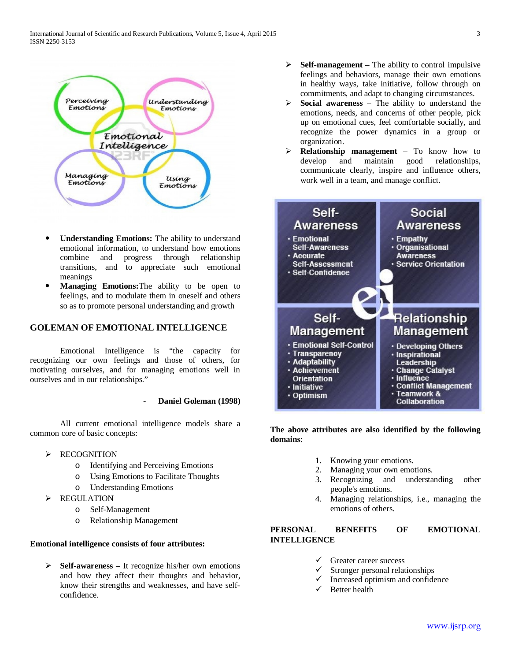

- **Understanding Emotions:** The ability to understand emotional information, to understand how emotions combine and progress through relationship transitions, and to appreciate such emotional meanings
- **Managing Emotions:**The ability to be open to feelings, and to modulate them in oneself and others so as to promote personal understanding and growth

# **GOLEMAN OF EMOTIONAL INTELLIGENCE**

Emotional Intelligence is "the capacity for recognizing our own feelings and those of others, for motivating ourselves, and for managing emotions well in ourselves and in our relationships."

#### - **Daniel Goleman (1998)**

All current emotional intelligence models share a common core of basic concepts:

- > RECOGNITION
	- o Identifying and Perceiving Emotions
	- o Using Emotions to Facilitate Thoughts
	- o Understanding Emotions
- > REGULATION
	- o Self-Management
	- o Relationship Management

#### **Emotional intelligence consists of four attributes:**

 **Self-awareness** – It recognize his/her own emotions and how they affect their thoughts and behavior, know their strengths and weaknesses, and have selfconfidence.

- $\triangleright$  **Self-management** The ability to control impulsive feelings and behaviors, manage their own emotions in healthy ways, take initiative, follow through on commitments, and adapt to changing circumstances.
- $\triangleright$  **Social awareness** The ability to understand the emotions, needs, and concerns of other people, pick up on emotional cues, feel comfortable socially, and recognize the power dynamics in a group or organization.
- **Relationship management** To know how to develop and maintain good relationships, communicate clearly, inspire and influence others, work well in a team, and manage conflict.



## **The above attributes are also identified by the following domains**:

- 1. Knowing your emotions.
- 2. Managing your own emotions.
- 3. Recognizing and understanding other people's emotions.
- 4. Managing relationships, i.e., managing the emotions of others.

# **PERSONAL BENEFITS OF EMOTIONAL INTELLIGENCE**

- Greater career success
- Stronger personal relationships
- $\checkmark$  Increased optimism and confidence<br> $\checkmark$  Better health
- Better health